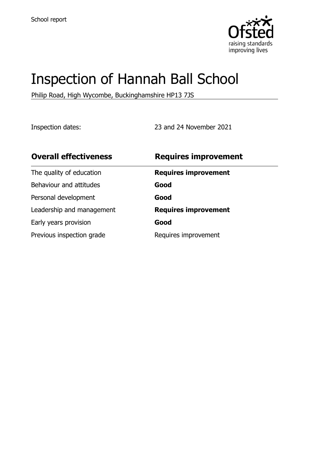

# Inspection of Hannah Ball School

Philip Road, High Wycombe, Buckinghamshire HP13 7JS

Inspection dates: 23 and 24 November 2021

| <b>Overall effectiveness</b> | <b>Requires improvement</b> |
|------------------------------|-----------------------------|
| The quality of education     | <b>Requires improvement</b> |
| Behaviour and attitudes      | Good                        |
| Personal development         | Good                        |
| Leadership and management    | <b>Requires improvement</b> |
| Early years provision        | Good                        |
| Previous inspection grade    | Requires improvement        |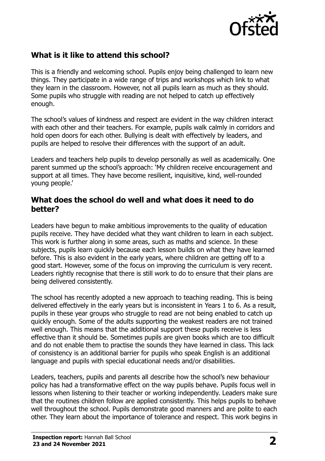

# **What is it like to attend this school?**

This is a friendly and welcoming school. Pupils enjoy being challenged to learn new things. They participate in a wide range of trips and workshops which link to what they learn in the classroom. However, not all pupils learn as much as they should. Some pupils who struggle with reading are not helped to catch up effectively enough.

The school's values of kindness and respect are evident in the way children interact with each other and their teachers. For example, pupils walk calmly in corridors and hold open doors for each other. Bullying is dealt with effectively by leaders, and pupils are helped to resolve their differences with the support of an adult.

Leaders and teachers help pupils to develop personally as well as academically. One parent summed up the school's approach: 'My children receive encouragement and support at all times. They have become resilient, inquisitive, kind, well-rounded young people.'

#### **What does the school do well and what does it need to do better?**

Leaders have begun to make ambitious improvements to the quality of education pupils receive. They have decided what they want children to learn in each subject. This work is further along in some areas, such as maths and science. In these subjects, pupils learn quickly because each lesson builds on what they have learned before. This is also evident in the early years, where children are getting off to a good start. However, some of the focus on improving the curriculum is very recent. Leaders rightly recognise that there is still work to do to ensure that their plans are being delivered consistently.

The school has recently adopted a new approach to teaching reading. This is being delivered effectively in the early years but is inconsistent in Years 1 to 6. As a result, pupils in these year groups who struggle to read are not being enabled to catch up quickly enough. Some of the adults supporting the weakest readers are not trained well enough. This means that the additional support these pupils receive is less effective than it should be. Sometimes pupils are given books which are too difficult and do not enable them to practise the sounds they have learned in class. This lack of consistency is an additional barrier for pupils who speak English is an additional language and pupils with special educational needs and/or disabilities.

Leaders, teachers, pupils and parents all describe how the school's new behaviour policy has had a transformative effect on the way pupils behave. Pupils focus well in lessons when listening to their teacher or working independently. Leaders make sure that the routines children follow are applied consistently. This helps pupils to behave well throughout the school. Pupils demonstrate good manners and are polite to each other. They learn about the importance of tolerance and respect. This work begins in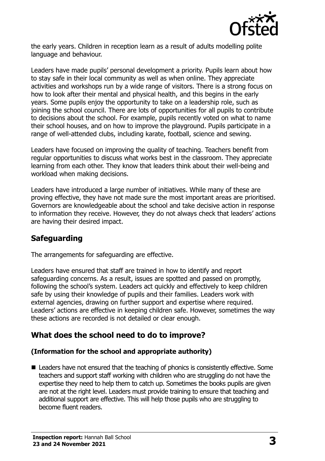

the early years. Children in reception learn as a result of adults modelling polite language and behaviour.

Leaders have made pupils' personal development a priority. Pupils learn about how to stay safe in their local community as well as when online. They appreciate activities and workshops run by a wide range of visitors. There is a strong focus on how to look after their mental and physical health, and this begins in the early years. Some pupils enjoy the opportunity to take on a leadership role, such as joining the school council. There are lots of opportunities for all pupils to contribute to decisions about the school. For example, pupils recently voted on what to name their school houses, and on how to improve the playground. Pupils participate in a range of well-attended clubs, including karate, football, science and sewing.

Leaders have focused on improving the quality of teaching. Teachers benefit from regular opportunities to discuss what works best in the classroom. They appreciate learning from each other. They know that leaders think about their well-being and workload when making decisions.

Leaders have introduced a large number of initiatives. While many of these are proving effective, they have not made sure the most important areas are prioritised. Governors are knowledgeable about the school and take decisive action in response to information they receive. However, they do not always check that leaders' actions are having their desired impact.

### **Safeguarding**

The arrangements for safeguarding are effective.

Leaders have ensured that staff are trained in how to identify and report safeguarding concerns. As a result, issues are spotted and passed on promptly, following the school's system. Leaders act quickly and effectively to keep children safe by using their knowledge of pupils and their families. Leaders work with external agencies, drawing on further support and expertise where required. Leaders' actions are effective in keeping children safe. However, sometimes the way these actions are recorded is not detailed or clear enough.

# **What does the school need to do to improve?**

#### **(Information for the school and appropriate authority)**

■ Leaders have not ensured that the teaching of phonics is consistently effective. Some teachers and support staff working with children who are struggling do not have the expertise they need to help them to catch up. Sometimes the books pupils are given are not at the right level. Leaders must provide training to ensure that teaching and additional support are effective. This will help those pupils who are struggling to become fluent readers.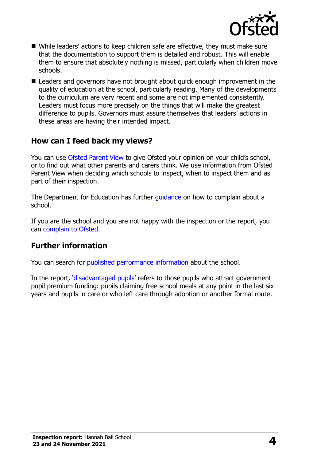

- While leaders' actions to keep children safe are effective, they must make sure that the documentation to support them is detailed and robust. This will enable them to ensure that absolutely nothing is missed, particularly when children move schools.
- Leaders and governors have not brought about quick enough improvement in the quality of education at the school, particularly reading. Many of the developments to the curriculum are very recent and some are not implemented consistently. Leaders must focus more precisely on the things that will make the greatest difference to pupils. Governors must assure themselves that leaders' actions in these areas are having their intended impact.

### **How can I feed back my views?**

You can use [Ofsted Parent View](http://parentview.ofsted.gov.uk/) to give Ofsted your opinion on your child's school, or to find out what other parents and carers think. We use information from Ofsted Parent View when deciding which schools to inspect, when to inspect them and as part of their inspection.

The Department for Education has further quidance on how to complain about a school.

If you are the school and you are not happy with the inspection or the report, you can [complain to Ofsted.](http://www.gov.uk/complain-ofsted-report)

#### **Further information**

You can search for [published performance information](http://www.compare-school-performance.service.gov.uk/) about the school.

In the report, '[disadvantaged pupils](http://www.gov.uk/guidance/pupil-premium-information-for-schools-and-alternative-provision-settings)' refers to those pupils who attract government pupil premium funding: pupils claiming free school meals at any point in the last six years and pupils in care or who left care through adoption or another formal route.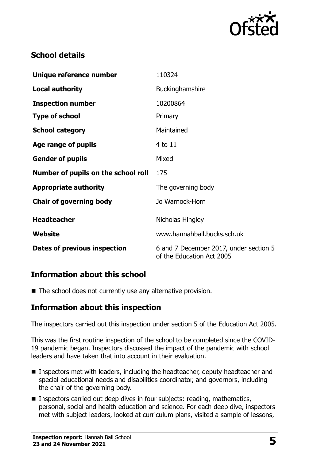

# **School details**

| Unique reference number             | 110324                                                              |
|-------------------------------------|---------------------------------------------------------------------|
| <b>Local authority</b>              | Buckinghamshire                                                     |
| <b>Inspection number</b>            | 10200864                                                            |
| <b>Type of school</b>               | Primary                                                             |
| <b>School category</b>              | Maintained                                                          |
| Age range of pupils                 | 4 to 11                                                             |
| <b>Gender of pupils</b>             | Mixed                                                               |
| Number of pupils on the school roll | 175                                                                 |
| <b>Appropriate authority</b>        | The governing body                                                  |
| <b>Chair of governing body</b>      | Jo Warnock-Horn                                                     |
| <b>Headteacher</b>                  | Nicholas Hingley                                                    |
| Website                             | www.hannahball.bucks.sch.uk                                         |
| <b>Dates of previous inspection</b> | 6 and 7 December 2017, under section 5<br>of the Education Act 2005 |

### **Information about this school**

 $\blacksquare$  The school does not currently use any alternative provision.

### **Information about this inspection**

The inspectors carried out this inspection under section 5 of the Education Act 2005.

This was the first routine inspection of the school to be completed since the COVID-19 pandemic began. Inspectors discussed the impact of the pandemic with school leaders and have taken that into account in their evaluation.

- Inspectors met with leaders, including the headteacher, deputy headteacher and special educational needs and disabilities coordinator, and governors, including the chair of the governing body.
- Inspectors carried out deep dives in four subjects: reading, mathematics, personal, social and health education and science. For each deep dive, inspectors met with subject leaders, looked at curriculum plans, visited a sample of lessons,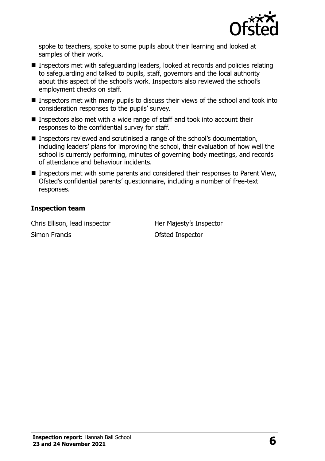

spoke to teachers, spoke to some pupils about their learning and looked at samples of their work.

- Inspectors met with safeguarding leaders, looked at records and policies relating to safeguarding and talked to pupils, staff, governors and the local authority about this aspect of the school's work. Inspectors also reviewed the school's employment checks on staff.
- Inspectors met with many pupils to discuss their views of the school and took into consideration responses to the pupils' survey.
- Inspectors also met with a wide range of staff and took into account their responses to the confidential survey for staff.
- Inspectors reviewed and scrutinised a range of the school's documentation, including leaders' plans for improving the school, their evaluation of how well the school is currently performing, minutes of governing body meetings, and records of attendance and behaviour incidents.
- Inspectors met with some parents and considered their responses to Parent View, Ofsted's confidential parents' questionnaire, including a number of free-text responses.

#### **Inspection team**

Chris Ellison, lead inspector **Her Majesty's Inspector** Simon Francis **Contract Contract Contract Contract Contract Contract Contract Contract Contract Contract Contract Contract Contract Contract Contract Contract Contract Contract Contract Contract Contract Contract Contract**